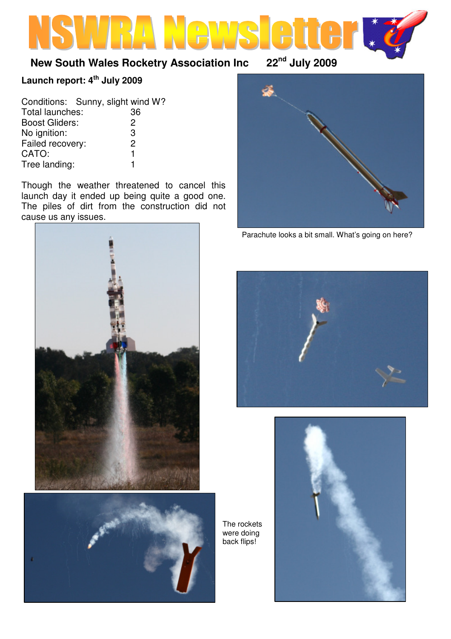# **New South Wales Rocketry Association Inc 22nd July 2009**

# **Launch report: 4th July 2009**

| Conditions: Sunny, slight wind W? |               |
|-----------------------------------|---------------|
| Total launches:                   | 36            |
| <b>Boost Gliders:</b>             | $\mathcal{P}$ |
| No ignition:                      | 3             |
| Failed recovery:                  | $\mathcal{P}$ |
| CATO:                             | 1             |
| Tree landing:                     |               |

Though the weather threatened to cancel this launch day it ended up being quite a good one. The piles of dirt from the construction did not cause us any issues.







Parachute looks a bit small. What's going on here?





The rockets were doing back flips!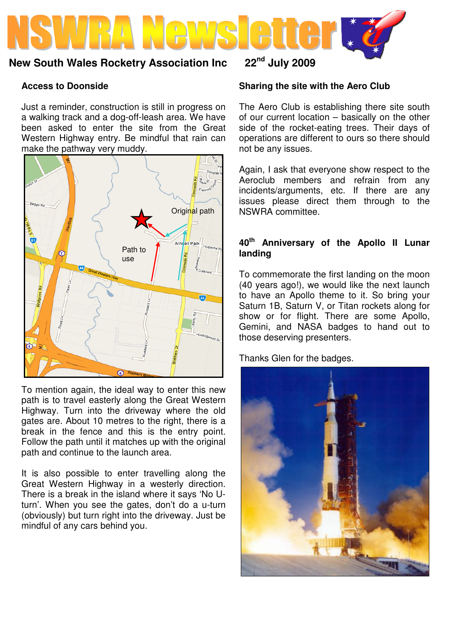

### **New South Wales Rocketry Association Inc 22nd July 2009**

### **Access to Doonside**

Just a reminder, construction is still in progress on a walking track and a dog-off-leash area. We have been asked to enter the site from the Great Western Highway entry. Be mindful that rain can make the pathway very muddy.



To mention again, the ideal way to enter this new path is to travel easterly along the Great Western Highway. Turn into the driveway where the old gates are. About 10 metres to the right, there is a break in the fence and this is the entry point. Follow the path until it matches up with the original path and continue to the launch area.

It is also possible to enter travelling along the Great Western Highway in a westerly direction. There is a break in the island where it says 'No Uturn'. When you see the gates, don't do a u-turn (obviously) but turn right into the driveway. Just be mindful of any cars behind you.

### **Sharing the site with the Aero Club**

The Aero Club is establishing there site south of our current location – basically on the other side of the rocket-eating trees. Their days of operations are different to ours so there should not be any issues.

Again, I ask that everyone show respect to the Aeroclub members and refrain from any incidents/arguments, etc. If there are any issues please direct them through to the NSWRA committee.

### **40th Anniversary of the Apollo II Lunar landing**

To commemorate the first landing on the moon (40 years ago!), we would like the next launch to have an Apollo theme to it. So bring your Saturn 1B, Saturn V, or Titan rockets along for show or for flight. There are some Apollo, Gemini, and NASA badges to hand out to those deserving presenters.

Thanks Glen for the badges.